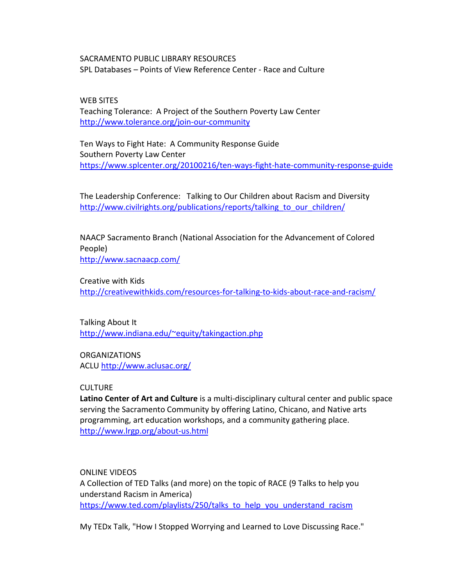SACRAMENTO PUBLIC LIBRARY RESOURCES SPL Databases – Points of View Reference Center - Race and Culture

WEB SITES Teaching Tolerance: A Project of the Southern Poverty Law Center <http://www.tolerance.org/join-our-community>

Ten Ways to Fight Hate: A Community Response Guide Southern Poverty Law Center <https://www.splcenter.org/20100216/ten-ways-fight-hate-community-response-guide>

The Leadership Conference: Talking to Our Children about Racism and Diversity http://www.civilrights.org/publications/reports/talking to our children/

NAACP Sacramento Branch (National Association for the Advancement of Colored People) <http://www.sacnaacp.com/>

Creative with Kids <http://creativewithkids.com/resources-for-talking-to-kids-about-race-and-racism/>

Talking About It [http://www.indiana.edu/~equity/takingaction.php](http://www.indiana.edu/%7Eequity/takingaction.php)

**ORGANIZATIONS** ACLU <http://www.aclusac.org/>

**CULTURE** 

**Latino Center of Art and Culture** is a multi-disciplinary cultural center and public space serving the Sacramento Community by offering Latino, Chicano, and Native arts programming, art education workshops, and a community gathering place. <http://www.lrgp.org/about-us.html>

ONLINE VIDEOS A Collection of TED Talks (and more) on the topic of RACE (9 Talks to help you understand Racism in America) [https://www.ted.com/playlists/250/talks\\_to\\_help\\_you\\_understand\\_racism](https://www.ted.com/playlists/250/talks_to_help_you_understand_racism)

My TEDx Talk, "How I Stopped Worrying and Learned to Love Discussing Race."